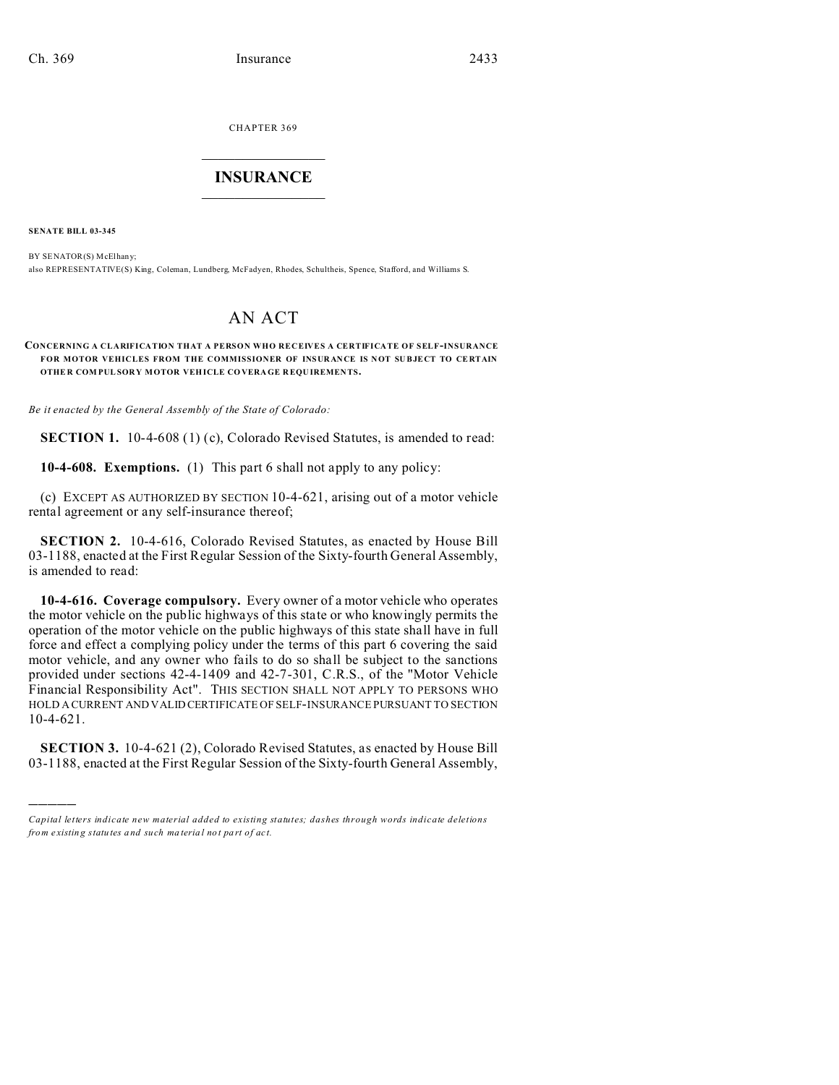CHAPTER 369  $\overline{\phantom{a}}$  , where  $\overline{\phantom{a}}$ 

## **INSURANCE**  $\_$   $\_$   $\_$   $\_$   $\_$   $\_$   $\_$   $\_$

**SENATE BILL 03-345**

)))))

BY SENATOR(S) McElhany; also REPRESENTATIVE(S) King, Coleman, Lundberg, McFadyen, Rhodes, Schultheis, Spence, Stafford, and Williams S.

## AN ACT

## **CONCERNING A CLARIFICATION THAT A PERSON WHO RECEIVES A CERTIFICATE OF SELF-INSURANCE** FOR MOTOR VEHICLES FROM THE COMMISSIONER OF INSURANCE IS NOT SUBJECT TO CERTAIN **OTHE R COM PULSORY MOTOR VEHICLE COVERAGE R EQU IREMEN TS.**

*Be it enacted by the General Assembly of the State of Colorado:*

**SECTION 1.** 10-4-608 (1) (c), Colorado Revised Statutes, is amended to read:

**10-4-608. Exemptions.** (1) This part 6 shall not apply to any policy:

(c) EXCEPT AS AUTHORIZED BY SECTION 10-4-621, arising out of a motor vehicle rental agreement or any self-insurance thereof;

**SECTION 2.** 10-4-616, Colorado Revised Statutes, as enacted by House Bill 03-1188, enacted at the First Regular Session of the Sixty-fourth General Assembly, is amended to read:

**10-4-616. Coverage compulsory.** Every owner of a motor vehicle who operates the motor vehicle on the public highways of this state or who knowingly permits the operation of the motor vehicle on the public highways of this state shall have in full force and effect a complying policy under the terms of this part 6 covering the said motor vehicle, and any owner who fails to do so shall be subject to the sanctions provided under sections 42-4-1409 and 42-7-301, C.R.S., of the "Motor Vehicle Financial Responsibility Act". THIS SECTION SHALL NOT APPLY TO PERSONS WHO HOLD A CURRENT AND VALID CERTIFICATE OF SELF-INSURANCE PURSUANT TO SECTION 10-4-621.

**SECTION 3.** 10-4-621 (2), Colorado Revised Statutes, as enacted by House Bill 03-1188, enacted at the First Regular Session of the Sixty-fourth General Assembly,

*Capital letters indicate new material added to existing statutes; dashes through words indicate deletions from e xistin g statu tes a nd such ma teria l no t pa rt of ac t.*